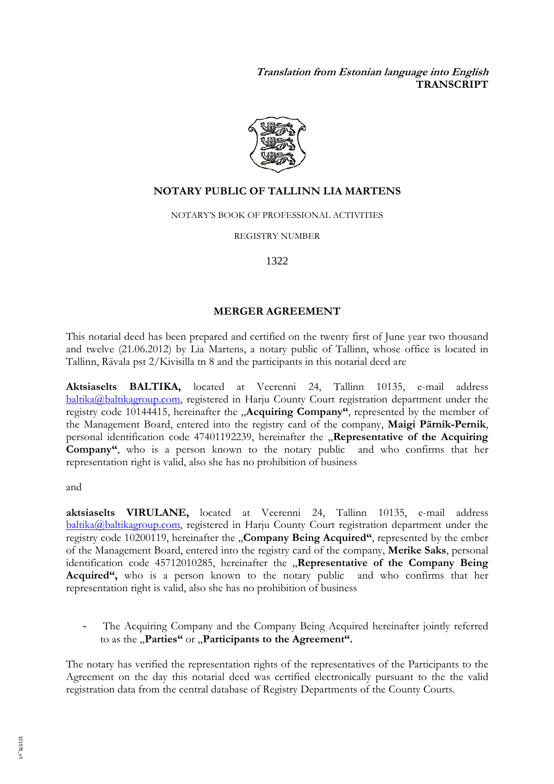**Translation from Estonian language into English TRANSCRIPT** 



#### **NOTARY PUBLIC OF TALLINN LIA MARTENS**

NOTARY'S BOOK OF PROFESSIONAL ACTIVITIES

REGISTRY NUMBER

1322

#### **MERGER AGREEMENT**

This notarial deed has been prepared and certified on the twenty first of June year two thousand and twelve (21.06.2012) by Lia Martens, a notary public of Tallinn, whose office is located in Tallinn, Rävala pst 2/Kivisilla tn 8 and the participants in this notarial deed are

**Aktsiaselts BALTIKA,** located at Veerenni 24, Tallinn 10135, e-mail address baltika@baltikagroup.com, registered in Harju County Court registration department under the registry code 10144415, hereinafter the "Acquiring Company", represented by the member of the Management Board, entered into the registry card of the company, **Maigi Pärnik-Pernik**, personal identification code 47401192239, hereinafter the "Representative of the Acquiring **Company"**, who is a person known to the notary public and who confirms that her representation right is valid, also she has no prohibition of business

and

**aktsiaselts VIRULANE,** located at Veerenni 24, Tallinn 10135, e-mail address baltika@baltikagroup.com, registered in Harju County Court registration department under the registry code 10200119, hereinafter the **"Company Being Acquired"**, represented by the ember of the Management Board, entered into the registry card of the company, **Merike Saks**, personal identification code 45712010285, hereinafter the "Representative of the Company Being **Acquired",** who is a person known to the notary public and who confirms that her representation right is valid, also she has no prohibition of business

The Acquiring Company and the Company Being Acquired hereinafter jointly referred to as the "Parties" or "Participants to the Agreement".

The notary has verified the representation rights of the representatives of the Participants to the Agreement on the day this notarial deed was certified electronically pursuant to the the valid registration data from the central database of Registry Departments of the County Courts.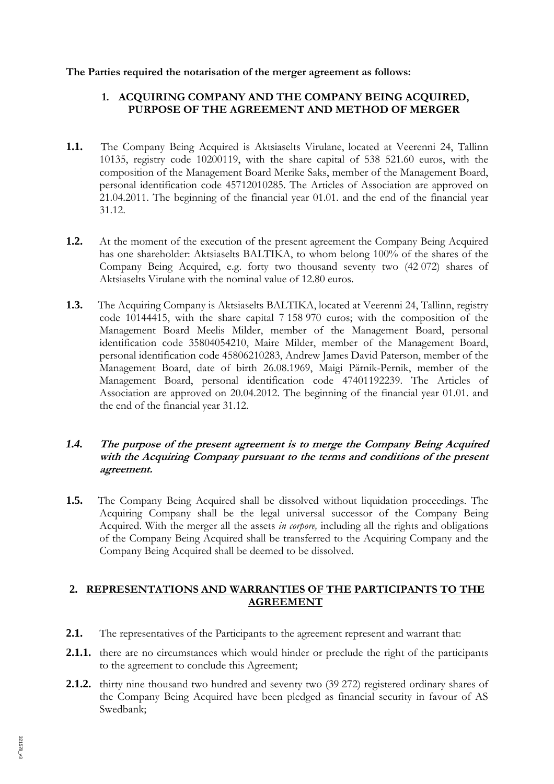### **The Parties required the notarisation of the merger agreement as follows:**

## **1. ACQUIRING COMPANY AND THE COMPANY BEING ACQUIRED, PURPOSE OF THE AGREEMENT AND METHOD OF MERGER**

- **1.1.** The Company Being Acquired is Aktsiaselts Virulane, located at Veerenni 24, Tallinn 10135, registry code 10200119, with the share capital of 538 521.60 euros, with the composition of the Management Board Merike Saks, member of the Management Board, personal identification code 45712010285. The Articles of Association are approved on 21.04.2011. The beginning of the financial year 01.01. and the end of the financial year 31.12.
- **1.2.** At the moment of the execution of the present agreement the Company Being Acquired has one shareholder: Aktsiaselts BALTIKA, to whom belong 100% of the shares of the Company Being Acquired, e.g. forty two thousand seventy two (42 072) shares of Aktsiaselts Virulane with the nominal value of 12.80 euros.
- **1.3.** The Acquiring Company is Aktsiaselts BALTIKA, located at Veerenni 24, Tallinn, registry code 10144415, with the share capital 7 158 970 euros; with the composition of the Management Board Meelis Milder, member of the Management Board, personal identification code 35804054210, Maire Milder, member of the Management Board, personal identification code 45806210283, Andrew James David Paterson, member of the Management Board, date of birth 26.08.1969, Maigi Pärnik-Pernik, member of the Management Board, personal identification code 47401192239. The Articles of Association are approved on 20.04.2012. The beginning of the financial year 01.01. and the end of the financial year 31.12.

### *1.4.* **The purpose of the present agreement is to merge the Company Being Acquired with the Acquiring Company pursuant to the terms and conditions of the present agreement.**

**1.5.** The Company Being Acquired shall be dissolved without liquidation proceedings. The Acquiring Company shall be the legal universal successor of the Company Being Acquired. With the merger all the assets *in corpore,* including all the rights and obligations of the Company Being Acquired shall be transferred to the Acquiring Company and the Company Being Acquired shall be deemed to be dissolved.

## **2. REPRESENTATIONS AND WARRANTIES OF THE PARTICIPANTS TO THE AGREEMENT**

- **2.1.** The representatives of the Participants to the agreement represent and warrant that:
- **2.1.1.** there are no circumstances which would hinder or preclude the right of the participants to the agreement to conclude this Agreement;
- **2.1.2.** thirty nine thousand two hundred and seventy two (39 272) registered ordinary shares of the Company Being Acquired have been pledged as financial security in favour of AS Swedbank;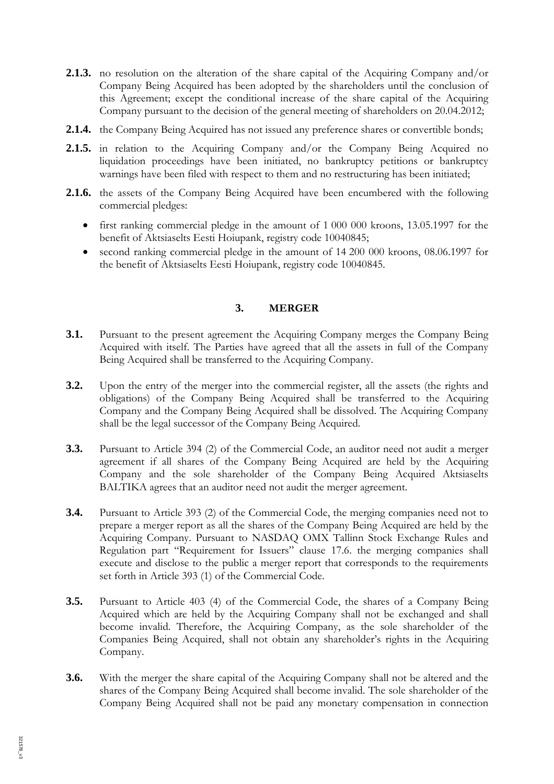- 2.1.3. no resolution on the alteration of the share capital of the Acquiring Company and/or Company Being Acquired has been adopted by the shareholders until the conclusion of this Agreement; except the conditional increase of the share capital of the Acquiring Company pursuant to the decision of the general meeting of shareholders on 20.04.2012;
- **2.1.4.** the Company Being Acquired has not issued any preference shares or convertible bonds;
- **2.1.5.** in relation to the Acquiring Company and/or the Company Being Acquired no liquidation proceedings have been initiated, no bankruptcy petitions or bankruptcy warnings have been filed with respect to them and no restructuring has been initiated;
- **2.1.6.** the assets of the Company Being Acquired have been encumbered with the following commercial pledges:
	- first ranking commercial pledge in the amount of 1 000 000 kroons, 13.05.1997 for the benefit of Aktsiaselts Eesti Hoiupank, registry code 10040845;
	- second ranking commercial pledge in the amount of 14 200 000 kroons, 08.06.1997 for the benefit of Aktsiaselts Eesti Hoiupank, registry code 10040845.

## **3. MERGER**

- **3.1.** Pursuant to the present agreement the Acquiring Company merges the Company Being Acquired with itself. The Parties have agreed that all the assets in full of the Company Being Acquired shall be transferred to the Acquiring Company.
- **3.2.** Upon the entry of the merger into the commercial register, all the assets (the rights and obligations) of the Company Being Acquired shall be transferred to the Acquiring Company and the Company Being Acquired shall be dissolved. The Acquiring Company shall be the legal successor of the Company Being Acquired.
- **3.3.** Pursuant to Article 394 (2) of the Commercial Code, an auditor need not audit a merger agreement if all shares of the Company Being Acquired are held by the Acquiring Company and the sole shareholder of the Company Being Acquired Aktsiaselts BALTIKA agrees that an auditor need not audit the merger agreement.
- **3.4.** Pursuant to Article 393 (2) of the Commercial Code, the merging companies need not to prepare a merger report as all the shares of the Company Being Acquired are held by the Acquiring Company. Pursuant to NASDAQ OMX Tallinn Stock Exchange Rules and Regulation part "Requirement for Issuers" clause 17.6. the merging companies shall execute and disclose to the public a merger report that corresponds to the requirements set forth in Article 393 (1) of the Commercial Code.
- **3.5.** Pursuant to Article 403 (4) of the Commercial Code, the shares of a Company Being Acquired which are held by the Acquiring Company shall not be exchanged and shall become invalid. Therefore, the Acquiring Company, as the sole shareholder of the Companies Being Acquired, shall not obtain any shareholder's rights in the Acquiring Company.
- **3.6.** With the merger the share capital of the Acquiring Company shall not be altered and the shares of the Company Being Acquired shall become invalid. The sole shareholder of the Company Being Acquired shall not be paid any monetary compensation in connection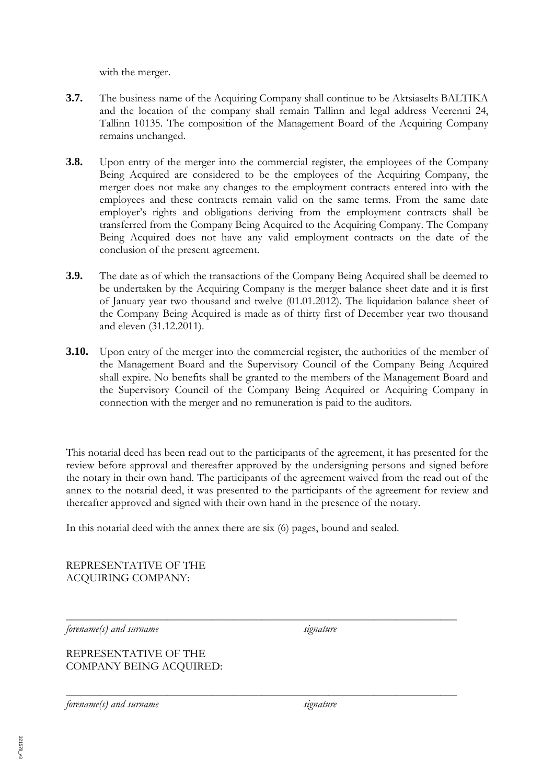with the merger.

- **3.7.** The business name of the Acquiring Company shall continue to be Aktsiaselts BALTIKA and the location of the company shall remain Tallinn and legal address Veerenni 24, Tallinn 10135. The composition of the Management Board of the Acquiring Company remains unchanged.
- **3.8.** Upon entry of the merger into the commercial register, the employees of the Company Being Acquired are considered to be the employees of the Acquiring Company, the merger does not make any changes to the employment contracts entered into with the employees and these contracts remain valid on the same terms. From the same date employer's rights and obligations deriving from the employment contracts shall be transferred from the Company Being Acquired to the Acquiring Company. The Company Being Acquired does not have any valid employment contracts on the date of the conclusion of the present agreement.
- **3.9.** The date as of which the transactions of the Company Being Acquired shall be deemed to be undertaken by the Acquiring Company is the merger balance sheet date and it is first of January year two thousand and twelve (01.01.2012). The liquidation balance sheet of the Company Being Acquired is made as of thirty first of December year two thousand and eleven (31.12.2011).
- **3.10.** Upon entry of the merger into the commercial register, the authorities of the member of the Management Board and the Supervisory Council of the Company Being Acquired shall expire. No benefits shall be granted to the members of the Management Board and the Supervisory Council of the Company Being Acquired or Acquiring Company in connection with the merger and no remuneration is paid to the auditors.

This notarial deed has been read out to the participants of the agreement, it has presented for the review before approval and thereafter approved by the undersigning persons and signed before the notary in their own hand. The participants of the agreement waived from the read out of the annex to the notarial deed, it was presented to the participants of the agreement for review and thereafter approved and signed with their own hand in the presence of the notary.

\_\_\_\_\_\_\_\_\_\_\_\_\_\_\_\_\_\_\_\_\_\_\_\_\_\_\_\_\_\_\_\_\_\_\_\_\_\_\_\_\_\_\_\_\_\_\_\_\_\_\_\_\_\_\_\_\_\_\_\_\_\_\_\_\_\_\_\_\_\_

\_\_\_\_\_\_\_\_\_\_\_\_\_\_\_\_\_\_\_\_\_\_\_\_\_\_\_\_\_\_\_\_\_\_\_\_\_\_\_\_\_\_\_\_\_\_\_\_\_\_\_\_\_\_\_\_\_\_\_\_\_\_\_\_\_\_\_\_\_\_

In this notarial deed with the annex there are six (6) pages, bound and sealed.

REPRESENTATIVE OF THE ACQUIRING COMPANY:

*forename(s)* and *surname* signature

REPRESENTATIVE OF THE COMPANY BEING ACQUIRED:

*forename(s) and surname* signature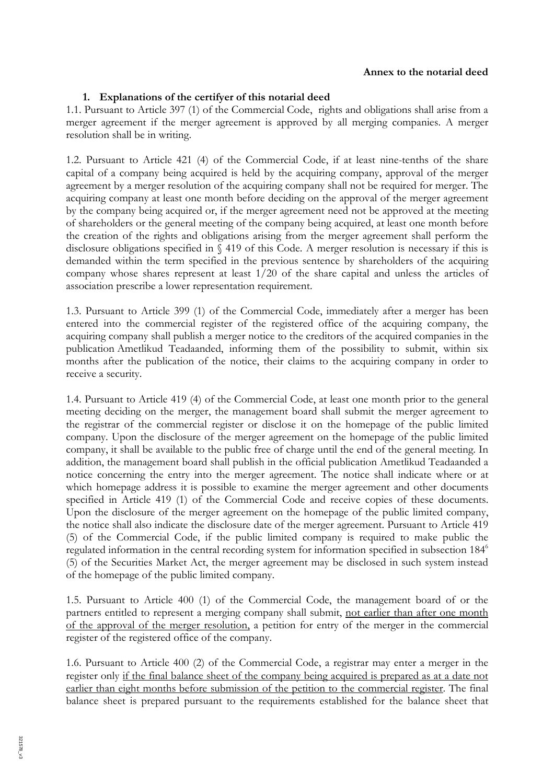#### **Annex to the notarial deed**

### **1. Explanations of the certifyer of this notarial deed**

1.1. Pursuant to Article 397 (1) of the Commercial Code, rights and obligations shall arise from a merger agreement if the merger agreement is approved by all merging companies. A merger resolution shall be in writing.

1.2. Pursuant to Article 421 (4) of the Commercial Code, if at least nine-tenths of the share capital of a company being acquired is held by the acquiring company, approval of the merger agreement by a merger resolution of the acquiring company shall not be required for merger. The acquiring company at least one month before deciding on the approval of the merger agreement by the company being acquired or, if the merger agreement need not be approved at the meeting of shareholders or the general meeting of the company being acquired, at least one month before the creation of the rights and obligations arising from the merger agreement shall perform the disclosure obligations specified in § 419 of this Code. A merger resolution is necessary if this is demanded within the term specified in the previous sentence by shareholders of the acquiring company whose shares represent at least 1/20 of the share capital and unless the articles of association prescribe a lower representation requirement.

1.3. Pursuant to Article 399 (1) of the Commercial Code, immediately after a merger has been entered into the commercial register of the registered office of the acquiring company, the acquiring company shall publish a merger notice to the creditors of the acquired companies in the publication Ametlikud Teadaanded, informing them of the possibility to submit, within six months after the publication of the notice, their claims to the acquiring company in order to receive a security.

1.4. Pursuant to Article 419 (4) of the Commercial Code, at least one month prior to the general meeting deciding on the merger, the management board shall submit the merger agreement to the registrar of the commercial register or disclose it on the homepage of the public limited company. Upon the disclosure of the merger agreement on the homepage of the public limited company, it shall be available to the public free of charge until the end of the general meeting. In addition, the management board shall publish in the official publication Ametlikud Teadaanded a notice concerning the entry into the merger agreement. The notice shall indicate where or at which homepage address it is possible to examine the merger agreement and other documents specified in Article 419 (1) of the Commercial Code and receive copies of these documents. Upon the disclosure of the merger agreement on the homepage of the public limited company, the notice shall also indicate the disclosure date of the merger agreement. Pursuant to Article 419 (5) of the Commercial Code, if the public limited company is required to make public the regulated information in the central recording system for information specified in subsection 184<sup>6</sup> (5) of the Securities Market Act, the merger agreement may be disclosed in such system instead of the homepage of the public limited company.

1.5. Pursuant to Article 400 (1) of the Commercial Code, the management board of or the partners entitled to represent a merging company shall submit, not earlier than after one month of the approval of the merger resolution, a petition for entry of the merger in the commercial register of the registered office of the company.

1.6. Pursuant to Article 400 (2) of the Commercial Code, a registrar may enter a merger in the register only if the final balance sheet of the company being acquired is prepared as at a date not earlier than eight months before submission of the petition to the commercial register. The final balance sheet is prepared pursuant to the requirements established for the balance sheet that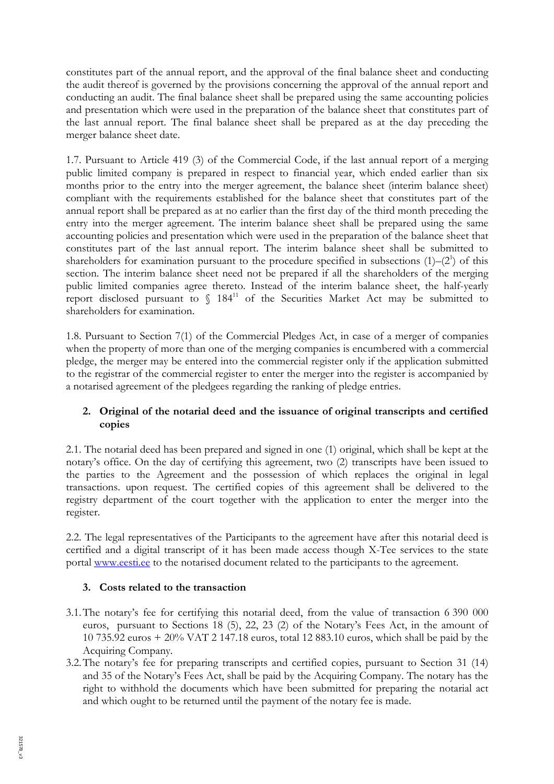constitutes part of the annual report, and the approval of the final balance sheet and conducting the audit thereof is governed by the provisions concerning the approval of the annual report and conducting an audit. The final balance sheet shall be prepared using the same accounting policies and presentation which were used in the preparation of the balance sheet that constitutes part of the last annual report. The final balance sheet shall be prepared as at the day preceding the merger balance sheet date.

1.7. Pursuant to Article 419 (3) of the Commercial Code, if the last annual report of a merging public limited company is prepared in respect to financial year, which ended earlier than six months prior to the entry into the merger agreement, the balance sheet (interim balance sheet) compliant with the requirements established for the balance sheet that constitutes part of the annual report shall be prepared as at no earlier than the first day of the third month preceding the entry into the merger agreement. The interim balance sheet shall be prepared using the same accounting policies and presentation which were used in the preparation of the balance sheet that constitutes part of the last annual report. The interim balance sheet shall be submitted to shareholders for examination pursuant to the procedure specified in subsections  $(1)$ – $(2^1)$  of this section. The interim balance sheet need not be prepared if all the shareholders of the merging public limited companies agree thereto. Instead of the interim balance sheet, the half-yearly report disclosed pursuant to § 184<sup>11</sup> of the Securities Market Act may be submitted to shareholders for examination.

1.8. Pursuant to Section 7(1) of the Commercial Pledges Act, in case of a merger of companies when the property of more than one of the merging companies is encumbered with a commercial pledge, the merger may be entered into the commercial register only if the application submitted to the registrar of the commercial register to enter the merger into the register is accompanied by a notarised agreement of the pledgees regarding the ranking of pledge entries.

# **2. Original of the notarial deed and the issuance of original transcripts and certified copies**

2.1. The notarial deed has been prepared and signed in one (1) original, which shall be kept at the notary's office. On the day of certifying this agreement, two (2) transcripts have been issued to the parties to the Agreement and the possession of which replaces the original in legal transactions. upon request. The certified copies of this agreement shall be delivered to the registry department of the court together with the application to enter the merger into the register.

2.2. The legal representatives of the Participants to the agreement have after this notarial deed is certified and a digital transcript of it has been made access though X-Tee services to the state portal www.eesti.ee to the notarised document related to the participants to the agreement.

## **3. Costs related to the transaction**

- 3.1.The notary's fee for certifying this notarial deed, from the value of transaction 6 390 000 euros, pursuant to Sections 18 (5), 22, 23 (2) of the Notary's Fees Act, in the amount of 10 735.92 euros + 20% VAT 2 147.18 euros, total 12 883.10 euros, which shall be paid by the Acquiring Company.
- 3.2.The notary's fee for preparing transcripts and certified copies, pursuant to Section 31 (14) and 35 of the Notary's Fees Act, shall be paid by the Acquiring Company. The notary has the right to withhold the documents which have been submitted for preparing the notarial act and which ought to be returned until the payment of the notary fee is made.